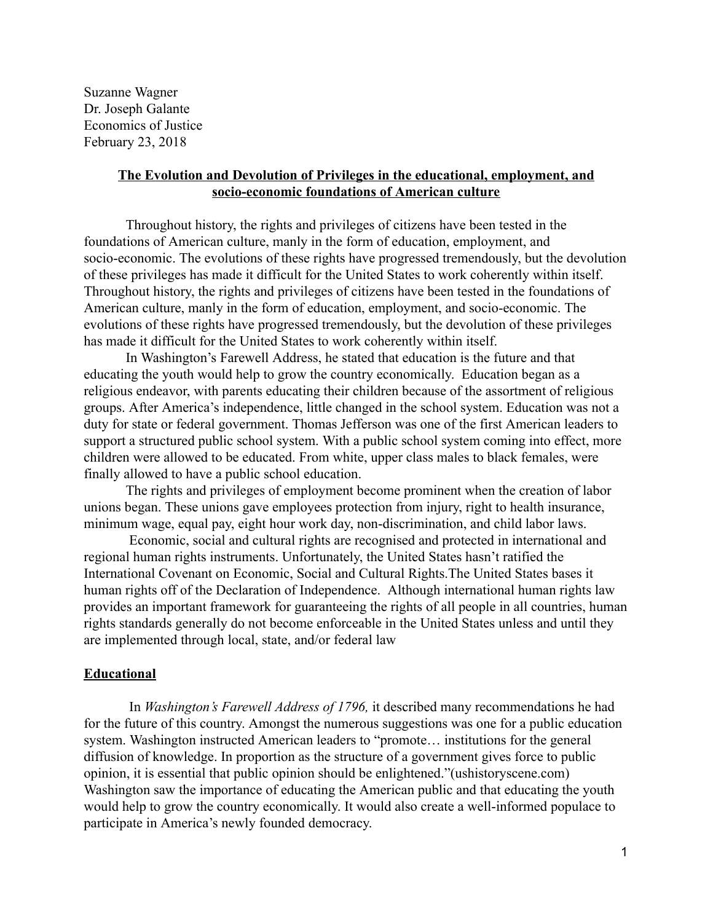Suzanne Wagner Dr. Joseph Galante Economics of Justice February 23, 2018

### The Evolution and Devolution of Privileges in the educational, employment, and socio-economic foundations of American culture

Throughout history, the rights and privileges of citizens have been tested in the foundations of American culture, manly in the form of education, employment, and socio-economic. The evolutions of these rights have progressed tremendously, but the devolution of these privileges has made it difficult for the United States to work coherently within itself. Throughout history, the rights and privileges of citizens have been tested in the foundations of American culture, manly in the form of education, employment, and socio-economic. The evolutions of these rights have progressed tremendously, but the devolution of these privileges has made it difficult for the United States to work coherently within itself.

In Washington's Farewell Address, he stated that education is the future and that educating the youth would help to grow the country economically. Education began as a religious endeavor, with parents educating their children because of the assortment of religious groups. After America's independence, little changed in the school system. Education was not a duty for state or federal government. Thomas Jefferson was one of the first American leaders to support a structured public school system. With a public school system coming into effect, more children were allowed to be educated. From white, upper class males to black females, were finally allowed to have a public school education.

The rights and privileges of employment become prominent when the creation of labor unions began. These unions gave employees protection from injury, right to health insurance, minimum wage, equal pay, eight hour work day, non-discrimination, and child labor laws.

 Economic, social and cultural rights are recognised and protected in international and regional human rights instruments. Unfortunately, the United States hasn't ratified the International Covenant on Economic, Social and Cultural Rights.The United States bases it human rights off of the Declaration of Independence. Although international human rights law provides an important framework for guaranteeing the rights of all people in all countries, human rights standards generally do not become enforceable in the United States unless and until they are implemented through local, state, and/or federal law

#### Educational

 In *Washington's Farewell Address of 1796,* it described many recommendations he had for the future of this country. Amongst the numerous suggestions was one for a public education system. Washington instructed American leaders to "promote… institutions for the general diffusion of knowledge. In proportion as the structure of a government gives force to public opinion, it is essential that public opinion should be enlightened."(ushistoryscene.com) Washington saw the importance of educating the American public and that educating the youth would help to grow the country economically. It would also create a well-informed populace to participate in America's newly founded democracy.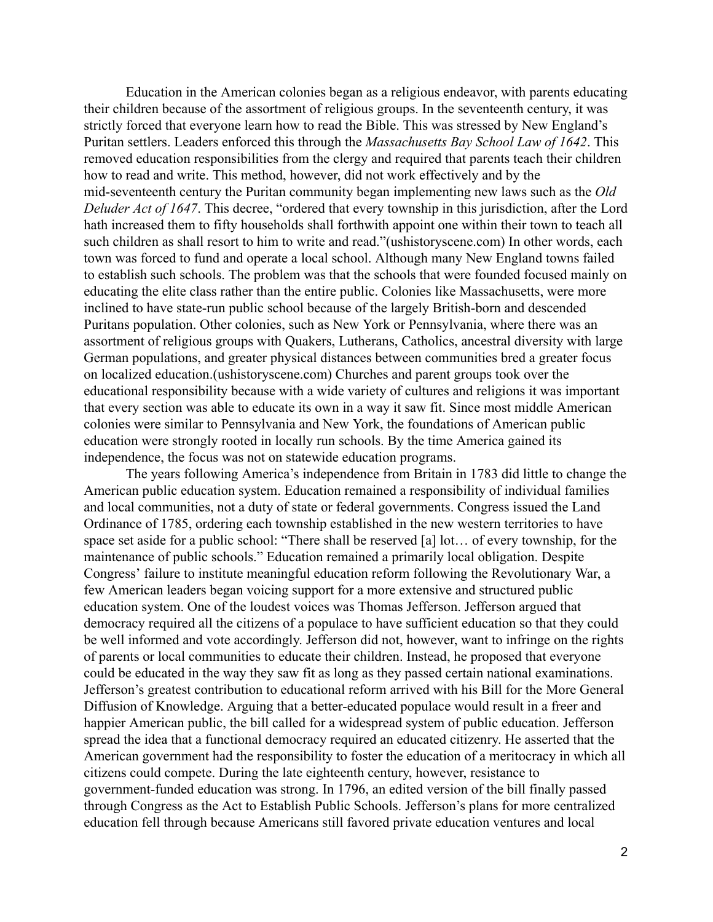Education in the American colonies began as a religious endeavor, with parents educating their children because of the assortment of religious groups. In the seventeenth century, it was strictly forced that everyone learn how to read the Bible. This was stressed by New England's Puritan settlers. Leaders enforced this through the *Massachusetts Bay School Law of 1642* . This removed education responsibilities from the clergy and required that parents teach their children how to read and write. This method, however, did not work effectively and by the mid-seventeenth century the Puritan community began implementing new laws such as the *Old Deluder Act of 1647* . This decree, "ordered that every township in this jurisdiction, after the Lord hath increased them to fifty households shall forthwith appoint one within their town to teach all such children as shall resort to him to write and read."(ushistoryscene.com) In other words, each town was forced to fund and operate a local school. Although many New England towns failed to establish such schools. The problem was that the schools that were founded focused mainly on educating the elite class rather than the entire public. Colonies like Massachusetts, were more inclined to have state-run public school because of the largely British-born and descended Puritans population. Other colonies, such as New York or Pennsylvania, where there was an assortment of religious groups with Quakers, Lutherans, Catholics, ancestral diversity with large German populations, and greater physical distances between communities bred a greater focus on localized education.(ushistoryscene.com) Churches and parent groups took over the educational responsibility because with a wide variety of cultures and religions it was important that every section was able to educate its own in a way it saw fit. Since most middle American colonies were similar to Pennsylvania and New York, the foundations of American public education were strongly rooted in locally run schools. By the time America gained its independence, the focus was not on statewide education programs.

The years following America's independence from Britain in 1783 did little to change the American public education system. Education remained a responsibility of individual families and local communities, not a duty of state or federal governments. Congress issued the Land Ordinance of 1785, ordering each township established in the new western territories to have space set aside for a public school: "There shall be reserved [a] lot… of every township, for the maintenance of public schools." Education remained a primarily local obligation. Despite Congress' failure to institute meaningful education reform following the Revolutionary War, a few American leaders began voicing support for a more extensive and structured public education system. One of the loudest voices was Thomas Jefferson. Jefferson argued that democracy required all the citizens of a populace to have sufficient education so that they could be well informed and vote accordingly. Jefferson did not, however, want to infringe on the rights of parents or local communities to educate their children. Instead, he proposed that everyone could be educated in the way they saw fit as long as they passed certain national examinations. Jefferson's greatest contribution to educational reform arrived with his Bill for the More General Diffusion of Knowledge. Arguing that a better-educated populace would result in a freer and happier American public, the bill called for a widespread system of public education. Jefferson spread the idea that a functional democracy required an educated citizenry. He asserted that the American government had the responsibility to foster the education of a meritocracy in which all citizens could compete. During the late eighteenth century, however, resistance to government-funded education was strong. In 1796, an edited version of the bill finally passed through Congress as the Act to Establish Public Schools. Jefferson's plans for more centralized education fell through because Americans still favored private education ventures and local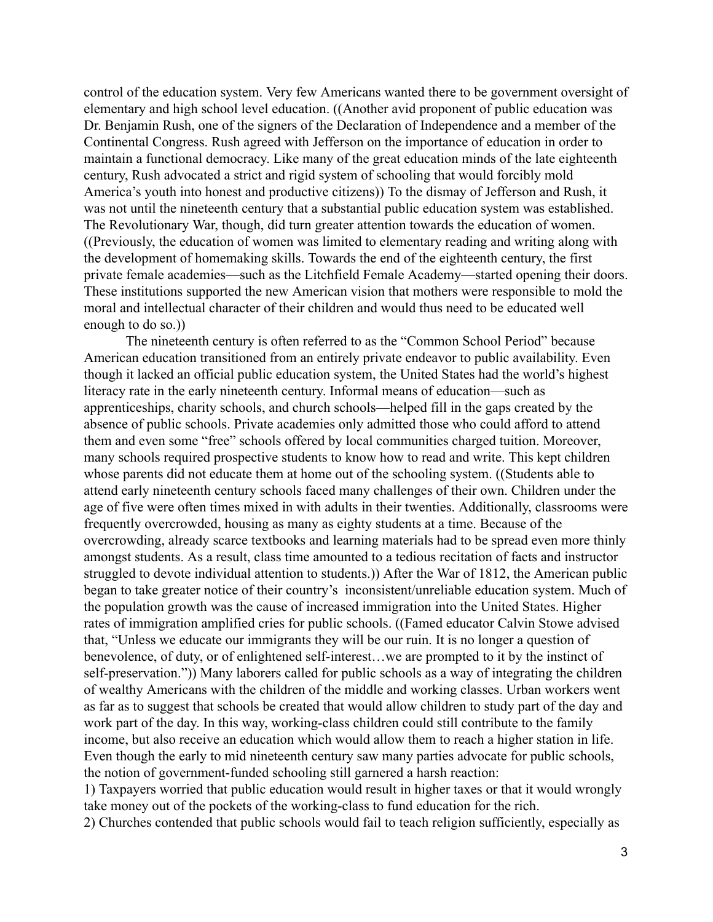control of the education system. Very few Americans wanted there to be government oversight of elementary and high school level education. ((Another avid proponent of public education was Dr. Benjamin Rush, one of the signers of the Declaration of Independence and a member of the Continental Congress. Rush agreed with Jefferson on the importance of education in order to maintain a functional democracy. Like many of the great education minds of the late eighteenth century, Rush advocated a strict and rigid system of schooling that would forcibly mold America's youth into honest and productive citizens)) To the dismay of Jefferson and Rush, it was not until the nineteenth century that a substantial public education system was established. The Revolutionary War, though, did turn greater attention towards the education of women. ((Previously, the education of women was limited to elementary reading and writing along with the development of homemaking skills. Towards the end of the eighteenth century, the first private female academies—such as the Litchfield Female Academy—started opening their doors. These institutions supported the new American vision that mothers were responsible to mold the moral and intellectual character of their children and would thus need to be educated well enough to do so.))

The nineteenth century is often referred to as the "Common School Period" because American education transitioned from an entirely private endeavor to public availability. Even though it lacked an official public education system, the United States had the world's highest literacy rate in the early nineteenth century. Informal means of education—such as apprenticeships, charity schools, and church schools—helped fill in the gaps created by the absence of public schools. Private academies only admitted those who could afford to attend them and even some "free" schools offered by local communities charged tuition. Moreover, many schools required prospective students to know how to read and write. This kept children whose parents did not educate them at home out of the schooling system. ((Students able to attend early nineteenth century schools faced many challenges of their own. Children under the age of five were often times mixed in with adults in their twenties. Additionally, classrooms were frequently overcrowded, housing as many as eighty students at a time. Because of the overcrowding, already scarce textbooks and learning materials had to be spread even more thinly amongst students. As a result, class time amounted to a tedious recitation of facts and instructor struggled to devote individual attention to students.)) After the War of 1812, the American public began to take greater notice of their country's inconsistent/unreliable education system. Much of the population growth was the cause of increased immigration into the United States. Higher rates of immigration amplified cries for public schools. ((Famed educator Calvin Stowe advised that, "Unless we educate our immigrants they will be our ruin. It is no longer a question of benevolence, of duty, or of enlightened self-interest…we are prompted to it by the instinct of self-preservation.")) Many laborers called for public schools as a way of integrating the children of wealthy Americans with the children of the middle and working classes. Urban workers went as far as to suggest that schools be created that would allow children to study part of the day and work part of the day. In this way, working-class children could still contribute to the family income, but also receive an education which would allow them to reach a higher station in life. Even though the early to mid nineteenth century saw many parties advocate for public schools, the notion of government-funded schooling still garnered a harsh reaction:

1) Taxpayers worried that public education would result in higher taxes or that it would wrongly take money out of the pockets of the working-class to fund education for the rich.

2) Churches contended that public schools would fail to teach religion sufficiently, especially as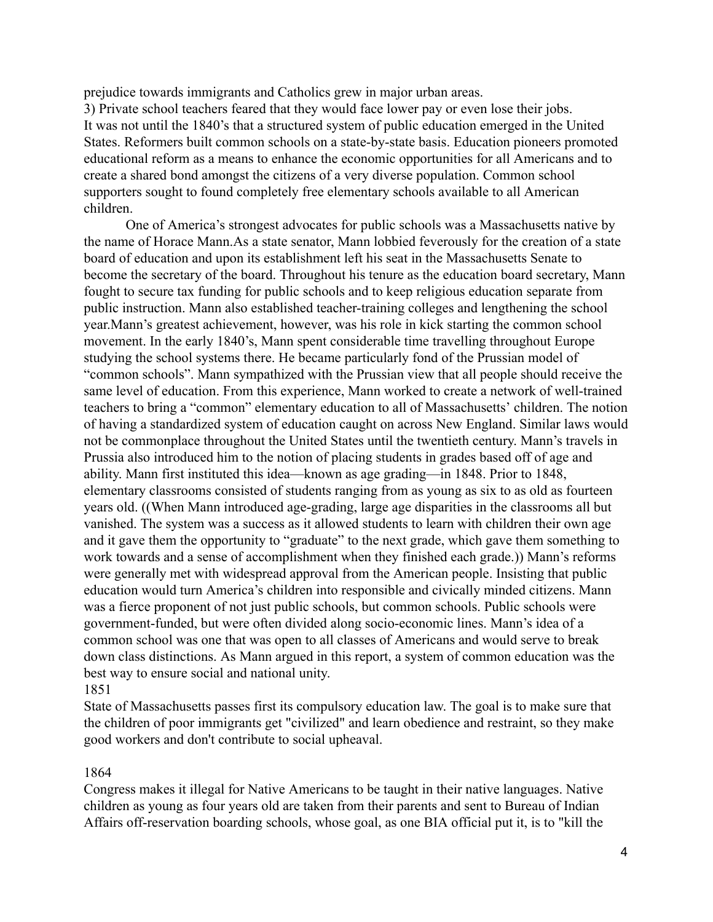prejudice towards immigrants and Catholics grew in major urban areas. 3) Private school teachers feared that they would face lower pay or even lose their jobs. It was not until the 1840's that a structured system of public education emerged in the United States. Reformers built common schools on a state-by-state basis. Education pioneers promoted educational reform as a means to enhance the economic opportunities for all Americans and to create a shared bond amongst the citizens of a very diverse population. Common school supporters sought to found completely free elementary schools available to all American children.

One of America's strongest advocates for public schools was a Massachusetts native by the name of Horace Mann.As a state senator, Mann lobbied feverously for the creation of a state board of education and upon its establishment left his seat in the Massachusetts Senate to become the secretary of the board. Throughout his tenure as the education board secretary, Mann fought to secure tax funding for public schools and to keep religious education separate from public instruction. Mann also established teacher-training colleges and lengthening the school year.Mann's greatest achievement, however, was his role in kick starting the common school movement. In the early 1840's, Mann spent considerable time travelling throughout Europe studying the school systems there. He became particularly fond of the Prussian model of "common schools". Mann sympathized with the Prussian view that all people should receive the same level of education. From this experience, Mann worked to create a network of well-trained teachers to bring a "common" elementary education to all of Massachusetts' children. The notion of having a standardized system of education caught on across New England. Similar laws would not be commonplace throughout the United States until the twentieth century. Mann's travels in Prussia also introduced him to the notion of placing students in grades based off of age and ability. Mann first instituted this idea—known as age grading—in 1848. Prior to 1848, elementary classrooms consisted of students ranging from as young as six to as old as fourteen years old. ((When Mann introduced age-grading, large age disparities in the classrooms all but vanished. The system was a success as it allowed students to learn with children their own age and it gave them the opportunity to "graduate" to the next grade, which gave them something to work towards and a sense of accomplishment when they finished each grade.)) Mann's reforms were generally met with widespread approval from the American people. Insisting that public education would turn America's children into responsible and civically minded citizens. Mann was a fierce proponent of not just public schools, but common schools. Public schools were government-funded, but were often divided along socio-economic lines. Mann's idea of a common school was one that was open to all classes of Americans and would serve to break down class distinctions. As Mann argued in this report, a system of common education was the best way to ensure social and national unity. 1851

State of Massachusetts passes first its compulsory education law. The goal is to make sure that the children of poor immigrants get "civilized" and learn obedience and restraint, so they make good workers and don't contribute to social upheaval.

#### 1864

Congress makes it illegal for Native Americans to be taught in their native languages. Native children as young as four years old are taken from their parents and sent to Bureau of Indian Affairs off-reservation boarding schools, whose goal, as one BIA official put it, is to "kill the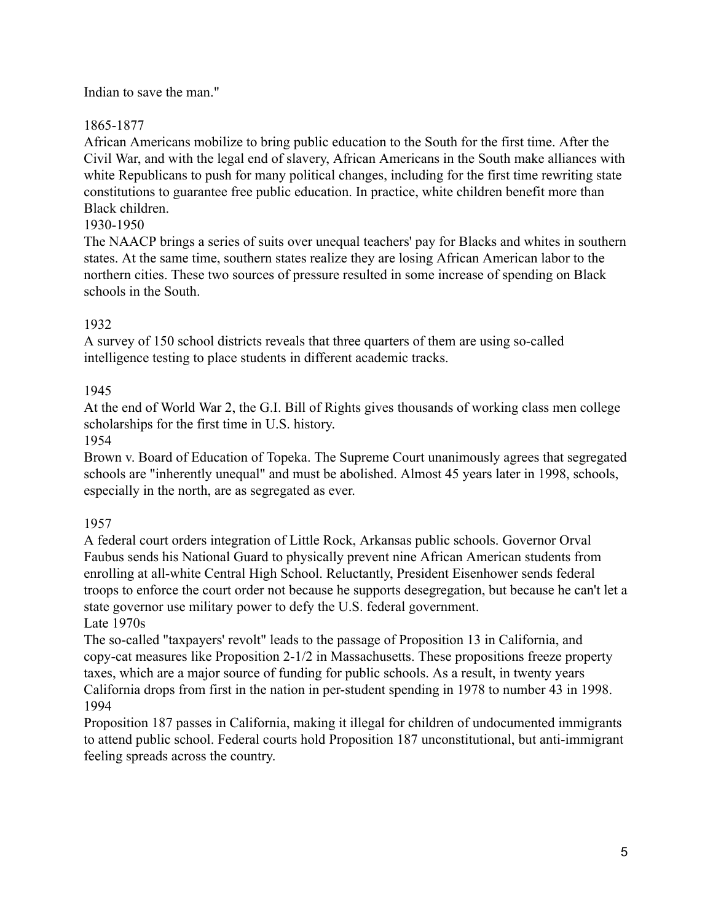### Indian to save the man."

## 1865-1877

African Americans mobilize to bring public education to the South for the first time. After the Civil War, and with the legal end of slavery, African Americans in the South make alliances with white Republicans to push for many political changes, including for the first time rewriting state constitutions to guarantee free public education. In practice, white children benefit more than Black children.

## 1930-1950

The NAACP brings a series of suits over unequal teachers' pay for Blacks and whites in southern states. At the same time, southern states realize they are losing African American labor to the northern cities. These two sources of pressure resulted in some increase of spending on Black schools in the South.

# 1932

A survey of 150 school districts reveals that three quarters of them are using so-called intelligence testing to place students in different academic tracks.

# 1945

At the end of World War 2, the G.I. Bill of Rights gives thousands of working class men college scholarships for the first time in U.S. history.

## 1954

Brown v. Board of Education of Topeka. The Supreme Court unanimously agrees that segregated schools are "inherently unequal" and must be abolished. Almost 45 years later in 1998, schools, especially in the north, are as segregated as ever.

## 1957

A federal court orders integration of Little Rock, Arkansas public schools. Governor Orval Faubus sends his National Guard to physically prevent nine African American students from enrolling at all-white Central High School. Reluctantly, President Eisenhower sends federal troops to enforce the court order not because he supports desegregation, but because he can't let a state governor use military power to defy the U.S. federal government. Late 1970s

The so-called "taxpayers' revolt" leads to the passage of Proposition 13 in California, and copy-cat measures like Proposition 2-1/2 in Massachusetts. These propositions freeze property taxes, which are a major source of funding for public schools. As a result, in twenty years California drops from first in the nation in per-student spending in 1978 to number 43 in 1998. 1994

Proposition 187 passes in California, making it illegal for children of undocumented immigrants to attend public school. Federal courts hold Proposition 187 unconstitutional, but anti-immigrant feeling spreads across the country.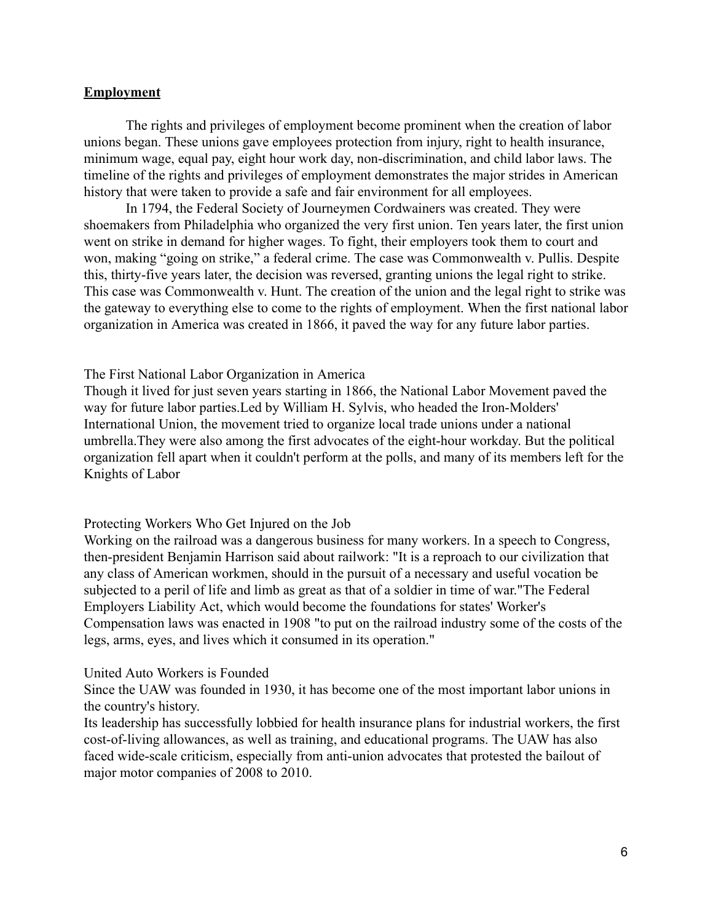### **Employment**

The rights and privileges of employment become prominent when the creation of labor unions began. These unions gave employees protection from injury, right to health insurance, minimum wage, equal pay, eight hour work day, non-discrimination, and child labor laws. The timeline of the rights and privileges of employment demonstrates the major strides in American history that were taken to provide a safe and fair environment for all employees.

In 1794, the Federal Society of Journeymen Cordwainers was created. They were shoemakers from Philadelphia who organized the very first union. Ten years later, the first union went on strike in demand for higher wages. To fight, their employers took them to court and won, making "going on strike," a federal crime. The case was Commonwealth v. Pullis. Despite this, thirty-five years later, the decision was reversed, granting unions the legal right to strike. This case was Commonwealth v. Hunt. The creation of the union and the legal right to strike was the gateway to everything else to come to the rights of employment. When the first national labor organization in America was created in 1866, it paved the way for any future labor parties.

#### The First National Labor Organization in America

Though it lived for just seven years starting in 1866, the National Labor Movement paved the way for future labor parties.Led by William H. Sylvis, who headed the Iron-Molders' International Union, the movement tried to organize local trade unions under a national umbrella.They were also among the first advocates of the eight-hour workday. But the political organization fell apart when it couldn't perform at the polls, and many of its members left for the Knights of Labor

#### Protecting Workers Who Get Injured on the Job

Working on the railroad was a dangerous business for many workers. In a speech to Congress, then-president Benjamin Harrison said about railwork: "It is a reproach to our civilization that any class of American workmen, should in the pursuit of a necessary and useful vocation be subjected to a peril of life and limb as great as that of a soldier in time of war."The Federal Employers Liability Act, which would become the foundations for states' Worker's Compensation laws was enacted in 1908 "to put on the railroad industry some of the costs of the legs, arms, eyes, and lives which it consumed in its operation."

#### United Auto Workers is Founded

Since the UAW was founded in 1930, it has become one of the most important labor unions in the country's history.

Its leadership has successfully lobbied for health insurance plans for industrial workers, the first cost-of-living allowances, as well as training, and educational programs. The UAW has also faced wide-scale criticism, especially from anti-union advocates that protested the bailout of major motor companies of 2008 to 2010.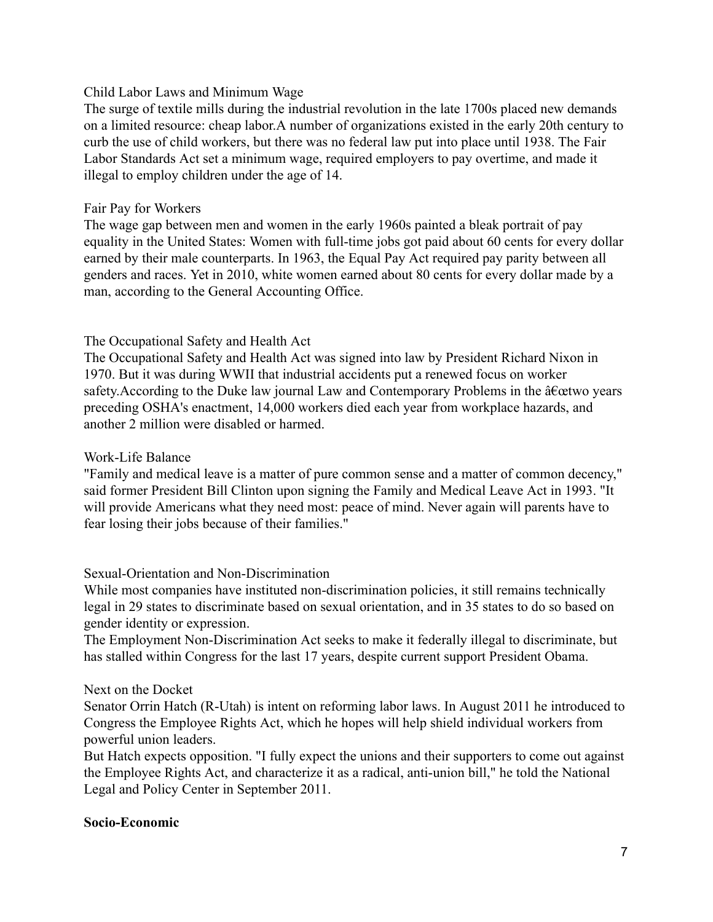### Child Labor Laws and Minimum Wage

The surge of textile mills during the industrial revolution in the late 1700s placed new demands on a limited resource: cheap labor.A number of organizations existed in the early 20th century to curb the use of child workers, but there was no federal law put into place until 1938. The Fair Labor Standards Act set a minimum wage, required employers to pay overtime, and made it illegal to employ children under the age of 14.

### Fair Pay for Workers

The wage gap between men and women in the early 1960s painted a bleak portrait of pay equality in the United States: Women with full-time jobs got paid about 60 cents for every dollar earned by their male counterparts. In 1963, the Equal Pay Act required pay parity between all genders and races. Yet in 2010, white women earned about 80 cents for every dollar made by a man, according to the General Accounting Office.

## The Occupational Safety and Health Act

The Occupational Safety and Health Act was signed into law by President Richard Nixon in 1970. But it was during WWII that industrial accidents put a renewed focus on worker safety. According to the Duke law journal Law and Contemporary Problems in the  $\hat{a} \in \hat{c}$  etwo years preceding OSHA's enactment, 14,000 workers died each year from workplace hazards, and another 2 million were disabled or harmed.

## Work-Life Balance

"Family and medical leave is a matter of pure common sense and a matter of common decency," said former President Bill Clinton upon signing the Family and Medical Leave Act in 1993. "It will provide Americans what they need most: peace of mind. Never again will parents have to fear losing their jobs because of their families."

## Sexual-Orientation and Non-Discrimination

While most companies have instituted non-discrimination policies, it still remains technically legal in 29 states to discriminate based on sexual orientation, and in 35 states to do so based on gender identity or expression.

The Employment Non-Discrimination Act seeks to make it federally illegal to discriminate, but has stalled within Congress for the last 17 years, despite current support President Obama.

## Next on the Docket

Senator Orrin Hatch (R-Utah) is intent on reforming labor laws. In August 2011 he introduced to Congress the Employee Rights Act, which he hopes will help shield individual workers from powerful union leaders.

But Hatch expects opposition. "I fully expect the unions and their supporters to come out against the Employee Rights Act, and characterize it as a radical, anti-union bill," he told the National Legal and Policy Center in September 2011.

### Socio-Economic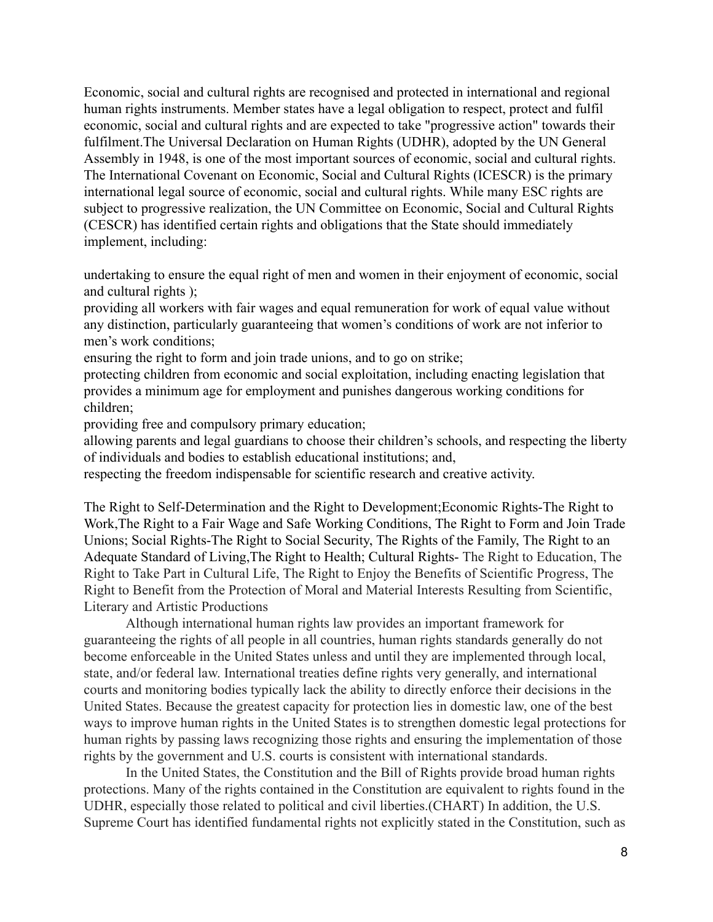Economic, social and cultural rights are recognised and protected in international and regional human rights instruments. Member states have a legal obligation to respect, protect and fulfil economic, social and cultural rights and are expected to take "progressive action" towards their fulfilment.The Universal Declaration on Human Rights (UDHR), adopted by the UN General Assembly in 1948, is one of the most important sources of economic, social and cultural rights. The International Covenant on Economic, Social and Cultural Rights (ICESCR) is the primary international legal source of economic, social and cultural rights. While many ESC rights are subject to progressive realization, the UN Committee on Economic, Social and Cultural Rights (CESCR) has identified certain rights and obligations that the State should immediately implement, including:

undertaking to ensure the equal right of men and women in their enjoyment of economic, social and cultural rights );

providing all workers with fair wages and equal remuneration for work of equal value without any distinction, particularly guaranteeing that women's conditions of work are not inferior to men's work conditions;

ensuring the right to form and join trade unions, and to go on strike;

protecting children from economic and social exploitation, including enacting legislation that provides a minimum age for employment and punishes dangerous working conditions for children;

providing free and compulsory primary education;

allowing parents and legal guardians to choose their children's schools, and respecting the liberty of individuals and bodies to establish educational institutions; and,

respecting the freedom indispensable for scientific research and creative activity.

The Right to Self-Determination and the Right to Development;Economic Rights-The Right to Work,The Right to a Fair Wage and Safe Working Conditions, The Right to Form and Join Trade Unions; Social Rights-The Right to Social Security, The Rights of the Family, The Right to an Adequate Standard of Living,The Right to Health; Cultural Rights- The Right to Education, The Right to Take Part in Cultural Life, The Right to Enjoy the Benefits of Scientific Progress, The Right to Benefit from the Protection of Moral and Material Interests Resulting from Scientific, Literary and Artistic Productions

Although international human rights law provides an important framework for guaranteeing the rights of all people in all countries, human rights standards generally do not become enforceable in the United States unless and until they are implemented through local, state, and/or federal law. International treaties define rights very generally, and international courts and monitoring bodies typically lack the ability to directly enforce their decisions in the United States. Because the greatest capacity for protection lies in domestic law, one of the best ways to improve human rights in the United States is to strengthen domestic legal protections for human rights by passing laws recognizing those rights and ensuring the implementation of those rights by the government and U.S. courts is consistent with international standards.

In the United States, the Constitution and the Bill of Rights provide broad human rights protections. Many of the rights contained in the Constitution are equivalent to rights found in the UDHR, especially those related to political and civil liberties.(CHART) In addition, the U.S. Supreme Court has identified fundamental rights not explicitly stated in the Constitution, such as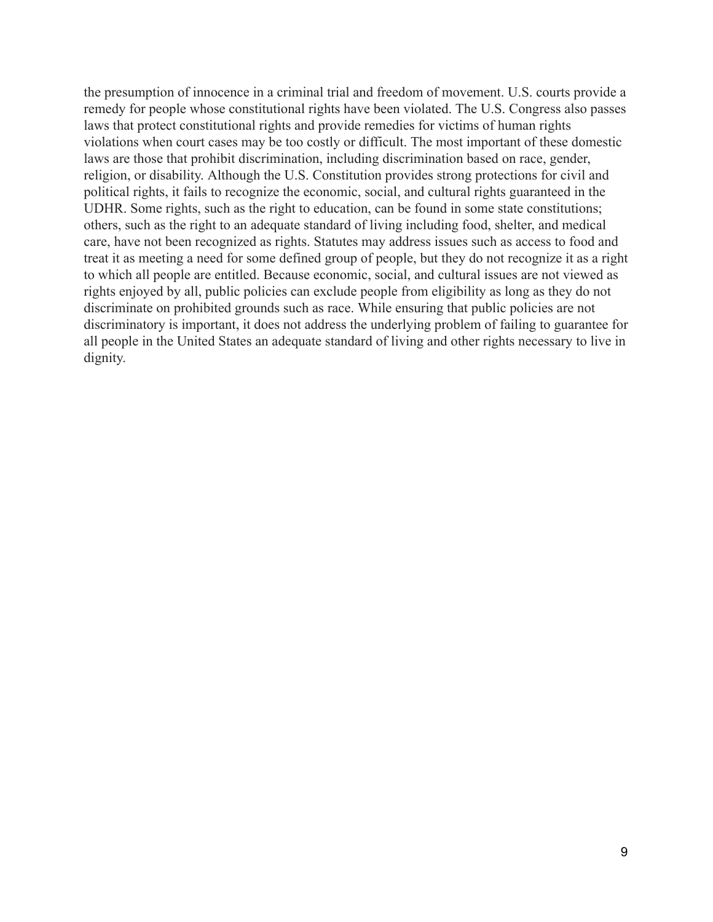the presumption of innocence in a criminal trial and freedom of movement. U.S. courts provide a remedy for people whose constitutional rights have been violated. The U.S. Congress also passes laws that protect constitutional rights and provide remedies for victims of human rights violations when court cases may be too costly or difficult. The most important of these domestic laws are those that prohibit discrimination, including discrimination based on race, gender, religion, or disability. Although the U.S. Constitution provides strong protections for civil and political rights, it fails to recognize the economic, social, and cultural rights guaranteed in the UDHR. Some rights, such as the right to education, can be found in some state constitutions; others, such as the right to an adequate standard of living including food, shelter, and medical care, have not been recognized as rights. Statutes may address issues such as access to food and treat it as meeting a need for some defined group of people, but they do not recognize it as a right to which all people are entitled. Because economic, social, and cultural issues are not viewed as rights enjoyed by all, public policies can exclude people from eligibility as long as they do not discriminate on prohibited grounds such as race. While ensuring that public policies are not discriminatory is important, it does not address the underlying problem of failing to guarantee for all people in the United States an adequate standard of living and other rights necessary to live in dignity.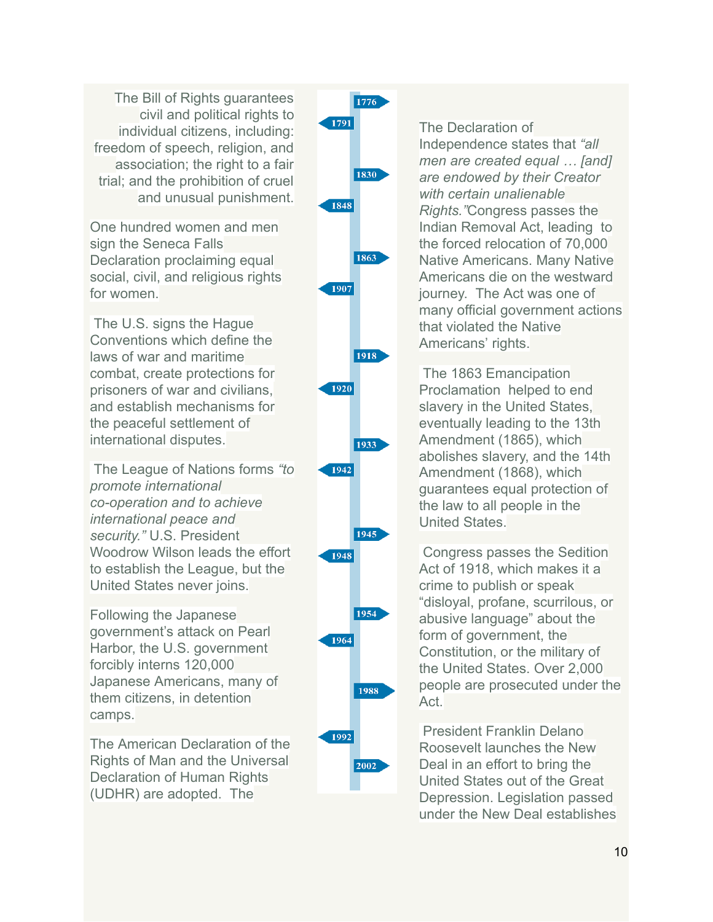The Bill of Rights guarantees civil and political rights to individual citizens, including: freedom of speech, religion, and association; the right to a fair trial; and the prohibition of cruel and unusual punishment.

One hundred women and men sign the Seneca Falls Declaration proclaiming equal social, civil, and religious rights for women.

 The U.S. signs the Hague Conventions which define the laws of war and maritime combat, create protections for prisoners of war and civilians, and establish mechanisms for the peaceful settlement of international disputes.

 The League of Nations forms "to promote international co-operation and to achieve international peace and security." U.S. President Woodrow Wilson leads the effort to establish the League, but the United States never joins.

Following the Japanese government's attack on Pearl Harbor, the U.S. government forcibly interns 120,000 Japanese Americans, many of them citizens, in detention camps.

The American Declaration of the Rights of Man and the Universal Declaration of Human Rights (UDHR) are adopted. The



The Declaration of Independence states that "all men are created equal ... [and] are endowed by their Creator with certain unalienable Rights. "Congress passes the Indian Removal Act, leading to the forced relocation of 70,000 Native Americans. Many Native Americans die on the westward journey. The Act was one of many official government actions that violated the Native Americans' rights.

 The 1863 Emancipation Proclamation helped to end slavery in the United States, eventually leading to the 13th Amendment (1865), which abolishes slavery, and the 14th Amendment (1868), which guarantees equal protection of the law to all people in the United States.

 Congress passes the Sedition Act of 1918, which makes it a crime to publish or speak "disloyal, profane, scurrilous, or abusive language" about the form of government, the Constitution, or the military of the United States. Over 2,000 people are prosecuted under the Act.

 President Franklin Delano Roosevelt launches the New Deal in an effort to bring the United States out of the Great Depression. Legislation passed under the New Deal establishes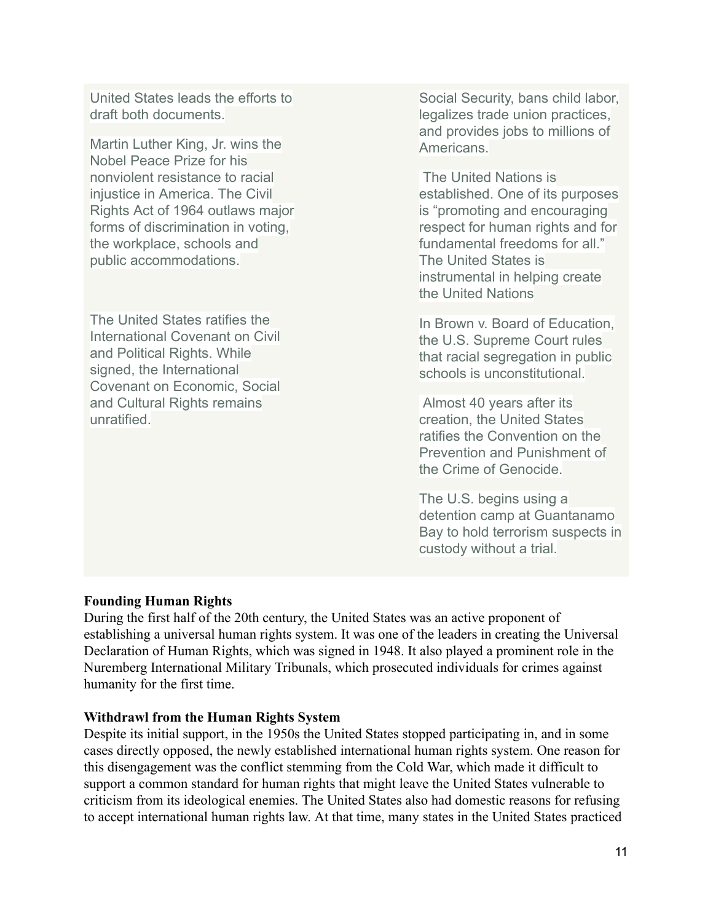United States leads the efforts to draft both documents.

Martin Luther King, Jr. wins the Nobel Peace Prize for his nonviolent resistance to racial injustice in America. The Civil Rights Act of 1964 outlaws major forms of discrimination in voting, the workplace, schools and public accommodations.

The United States ratifies the International Covenant on Civil and Political Rights. While signed, the International Covenant on Economic, Social and Cultural Rights remains unratified

Social Security, bans child labor, legalizes trade union practices, and provides jobs to millions of Americans.

 The United Nations is established. One of its purposes is "promoting and encouraging respect for human rights and for fundamental freedoms for all." The United States is instrumental in helping create the United Nations

In Brown v. Board of Education, the U.S. Supreme Court rules that racial segregation in public schools is unconstitutional.

 Almost 40 years after its creation, the United States ratifies the Convention on the Prevention and Punishment of the Crime of Genocide.

The U.S. begins using a detention camp at Guantanamo Bay to hold terrorism suspects in custody without a trial.

### Founding Human Rights

During the first half of the 20th century, the United States was an active proponent of establishing a universal human rights system. It was one of the leaders in creating the Universal Declaration of Human Rights, which was signed in 1948. It also played a prominent role in the Nuremberg International Military Tribunals, which prosecuted individuals for crimes against humanity for the first time.

### Withdrawl from the Human Rights System

Despite its initial support, in the 1950s the United States stopped participating in, and in some cases directly opposed, the newly established international human rights system. One reason for this disengagement was the conflict stemming from the Cold War, which made it difficult to support a common standard for human rights that might leave the United States vulnerable to criticism from its ideological enemies. The United States also had domestic reasons for refusing to accept international human rights law. At that time, many states in the United States practiced